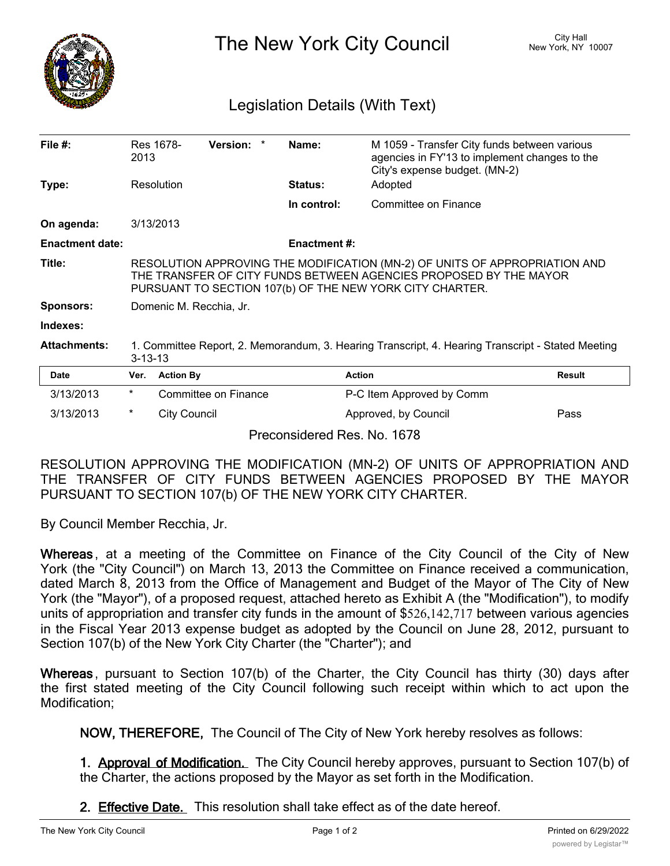

The New York City Council New York, NY 10007

## Legislation Details (With Text)

| File $#$ :             | 2013                                                                                                                                                                                                        | Res 1678-           | Version: *           |  | Name:                       | M 1059 - Transfer City funds between various<br>agencies in FY'13 to implement changes to the<br>City's expense budget. (MN-2) |               |
|------------------------|-------------------------------------------------------------------------------------------------------------------------------------------------------------------------------------------------------------|---------------------|----------------------|--|-----------------------------|--------------------------------------------------------------------------------------------------------------------------------|---------------|
| Type:                  | Resolution                                                                                                                                                                                                  |                     |                      |  | <b>Status:</b>              | Adopted                                                                                                                        |               |
|                        |                                                                                                                                                                                                             |                     |                      |  | In control:                 | Committee on Finance                                                                                                           |               |
| On agenda:             | 3/13/2013                                                                                                                                                                                                   |                     |                      |  |                             |                                                                                                                                |               |
| <b>Enactment date:</b> |                                                                                                                                                                                                             |                     |                      |  | <b>Enactment #:</b>         |                                                                                                                                |               |
| Title:                 | RESOLUTION APPROVING THE MODIFICATION (MN-2) OF UNITS OF APPROPRIATION AND<br>THE TRANSFER OF CITY FUNDS BETWEEN AGENCIES PROPOSED BY THE MAYOR<br>PURSUANT TO SECTION 107(b) OF THE NEW YORK CITY CHARTER. |                     |                      |  |                             |                                                                                                                                |               |
| Sponsors:              | Domenic M. Recchia, Jr.                                                                                                                                                                                     |                     |                      |  |                             |                                                                                                                                |               |
| Indexes:               |                                                                                                                                                                                                             |                     |                      |  |                             |                                                                                                                                |               |
| <b>Attachments:</b>    | 1. Committee Report, 2. Memorandum, 3. Hearing Transcript, 4. Hearing Transcript - Stated Meeting<br>$3 - 13 - 13$                                                                                          |                     |                      |  |                             |                                                                                                                                |               |
| Date                   | Ver.                                                                                                                                                                                                        | <b>Action By</b>    |                      |  |                             | <b>Action</b>                                                                                                                  | <b>Result</b> |
| 3/13/2013              | $^\star$                                                                                                                                                                                                    |                     | Committee on Finance |  |                             | P-C Item Approved by Comm                                                                                                      |               |
| 3/13/2013              | $\ast$                                                                                                                                                                                                      | <b>City Council</b> |                      |  |                             | Approved, by Council                                                                                                           | Pass          |
|                        |                                                                                                                                                                                                             |                     |                      |  | Preconsidered Res. No. 1678 |                                                                                                                                |               |

RESOLUTION APPROVING THE MODIFICATION (MN-2) OF UNITS OF APPROPRIATION AND THE TRANSFER OF CITY FUNDS BETWEEN AGENCIES PROPOSED BY THE MAYOR PURSUANT TO SECTION 107(b) OF THE NEW YORK CITY CHARTER.

By Council Member Recchia, Jr.

**Whereas** , at a meeting of the Committee on Finance of the City Council of the City of New York (the "City Council") on March 13, 2013 the Committee on Finance received a communication, dated March 8, 2013 from the Office of Management and Budget of the Mayor of The City of New York (the "Mayor"), of a proposed request, attached hereto as Exhibit A (the "Modification"), to modify units of appropriation and transfer city funds in the amount of \$526,142,717 between various agencies in the Fiscal Year 2013 expense budget as adopted by the Council on June 28, 2012, pursuant to Section 107(b) of the New York City Charter (the "Charter"); and

**Whereas** , pursuant to Section 107(b) of the Charter, the City Council has thirty (30) days after the first stated meeting of the City Council following such receipt within which to act upon the Modification;

**NOW, THEREFORE,** The Council of The City of New York hereby resolves as follows:

**1. Approval of Modification.** The City Council hereby approves, pursuant to Section 107(b) of the Charter, the actions proposed by the Mayor as set forth in the Modification.

**2. Effective Date.** This resolution shall take effect as of the date hereof.